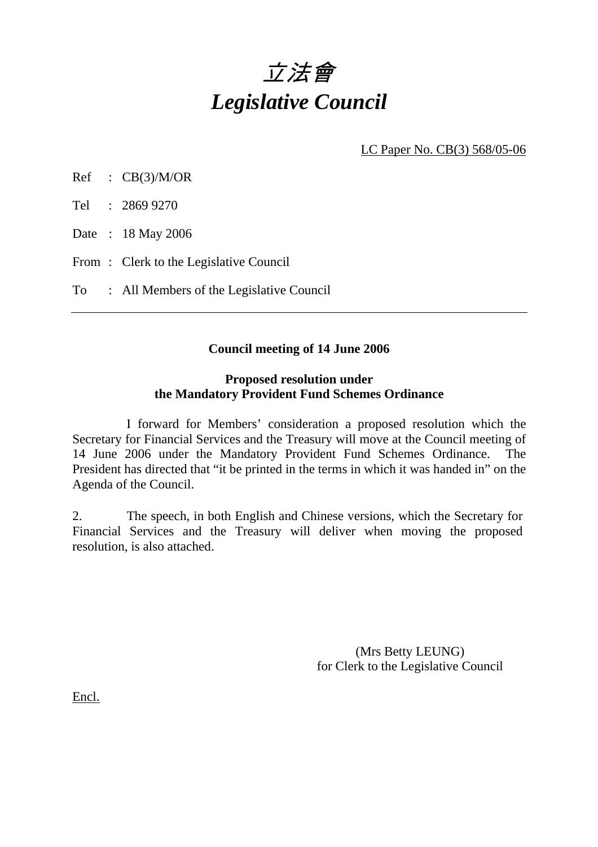# 立法會 *Legislative Council*

LC Paper No. CB(3) 568/05-06

Ref : CB(3)/M/OR

Tel : 2869 9270

Date : 18 May 2006

From: Clerk to the Legislative Council

To : All Members of the Legislative Council

#### **Council meeting of 14 June 2006**

#### **Proposed resolution under the Mandatory Provident Fund Schemes Ordinance**

 I forward for Members' consideration a proposed resolution which the Secretary for Financial Services and the Treasury will move at the Council meeting of 14 June 2006 under the Mandatory Provident Fund Schemes Ordinance. The President has directed that "it be printed in the terms in which it was handed in" on the Agenda of the Council.

2. The speech, in both English and Chinese versions, which the Secretary for Financial Services and the Treasury will deliver when moving the proposed resolution, is also attached.

> (Mrs Betty LEUNG) for Clerk to the Legislative Council

Encl.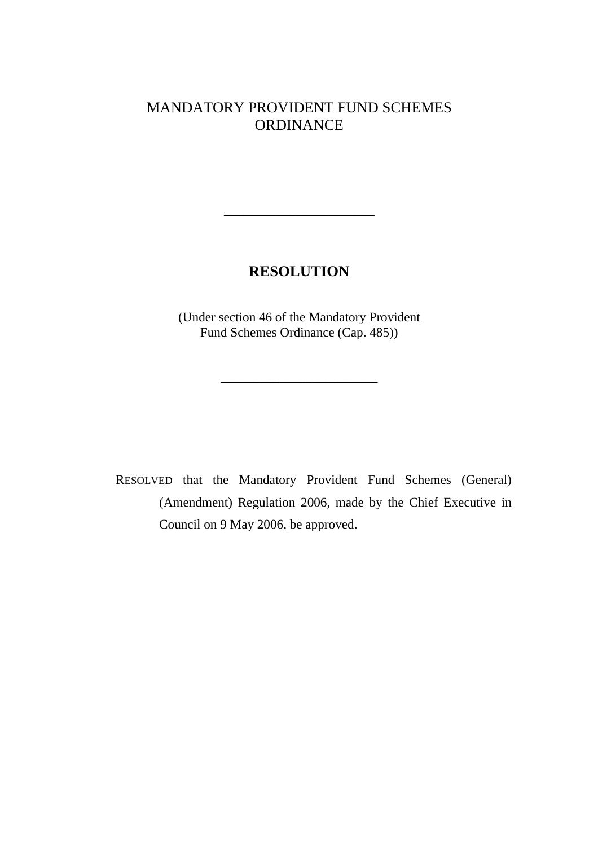## MANDATORY PROVIDENT FUND SCHEMES ORDINANCE

# **RESOLUTION**

\_\_\_\_\_\_\_\_\_\_\_\_\_\_\_\_\_\_\_\_\_\_\_

(Under section 46 of the Mandatory Provident Fund Schemes Ordinance (Cap. 485))

\_\_\_\_\_\_\_\_\_\_\_\_\_\_\_\_\_\_\_\_\_\_\_\_

RESOLVED that the Mandatory Provident Fund Schemes (General) (Amendment) Regulation 2006, made by the Chief Executive in Council on 9 May 2006, be approved.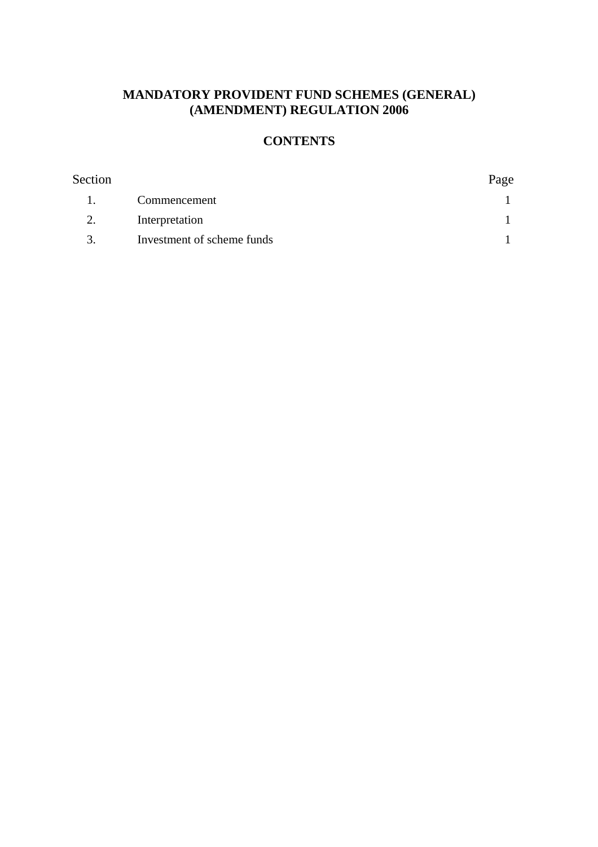### **MANDATORY PROVIDENT FUND SCHEMES (GENERAL) (AMENDMENT) REGULATION 2006**

# **CONTENTS**

| Section        |                            | Page |
|----------------|----------------------------|------|
| $\blacksquare$ | Commencement               |      |
| 2.             | Interpretation             |      |
| 3.             | Investment of scheme funds |      |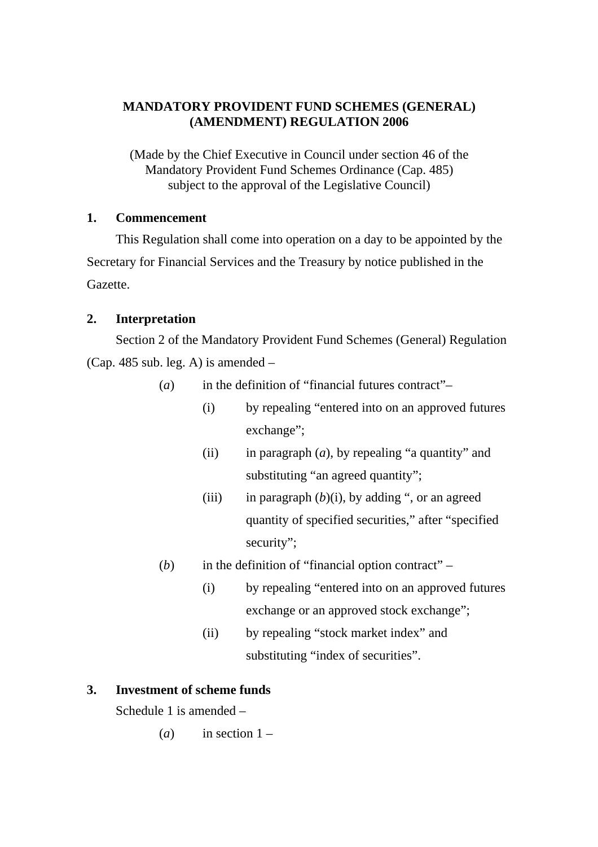#### **MANDATORY PROVIDENT FUND SCHEMES (GENERAL) (AMENDMENT) REGULATION 2006**

(Made by the Chief Executive in Council under section 46 of the Mandatory Provident Fund Schemes Ordinance (Cap. 485) subject to the approval of the Legislative Council)

#### **1. Commencement**

This Regulation shall come into operation on a day to be appointed by the Secretary for Financial Services and the Treasury by notice published in the Gazette.

#### **2. Interpretation**

Section 2 of the Mandatory Provident Fund Schemes (General) Regulation (Cap. 485 sub. leg. A) is amended –

- (*a*) in the definition of "financial futures contract"–
	- (i) by repealing "entered into on an approved futures exchange";
	- (ii) in paragraph  $(a)$ , by repealing "a quantity" and substituting "an agreed quantity";
	- (iii) in paragraph  $(b)(i)$ , by adding ", or an agreed quantity of specified securities," after "specified security";
- (*b*) in the definition of "financial option contract"
	- (i) by repealing "entered into on an approved futures exchange or an approved stock exchange";
	- (ii) by repealing "stock market index" and substituting "index of securities".

#### **3. Investment of scheme funds**

Schedule 1 is amended –

 $(a)$  in section  $1 -$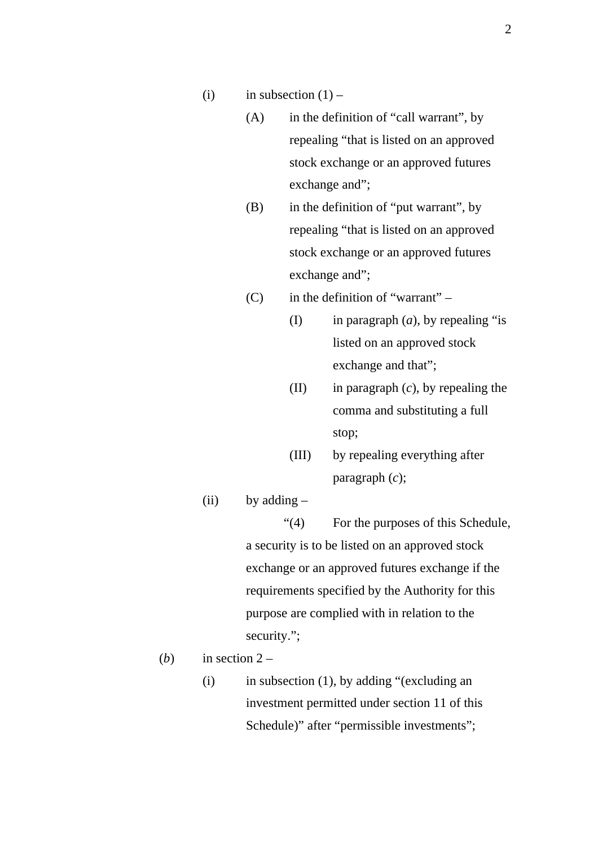- (i) in subsection  $(1)$ 
	- (A) in the definition of "call warrant", by repealing "that is listed on an approved stock exchange or an approved futures exchange and";
	- (B) in the definition of "put warrant", by repealing "that is listed on an approved stock exchange or an approved futures exchange and";
	- $(C)$  in the definition of "warrant"
		- (I) in paragraph (*a*), by repealing "is listed on an approved stock exchange and that";
		- (II) in paragraph (*c*), by repealing the comma and substituting a full stop;
		- (III) by repealing everything after paragraph (*c*);
- (ii) by adding  $-$

"(4) For the purposes of this Schedule, a security is to be listed on an approved stock exchange or an approved futures exchange if the requirements specified by the Authority for this purpose are complied with in relation to the security.";

- (*b*) in section  $2 -$ 
	- $(i)$  in subsection  $(1)$ , by adding "(excluding an investment permitted under section 11 of this Schedule)" after "permissible investments";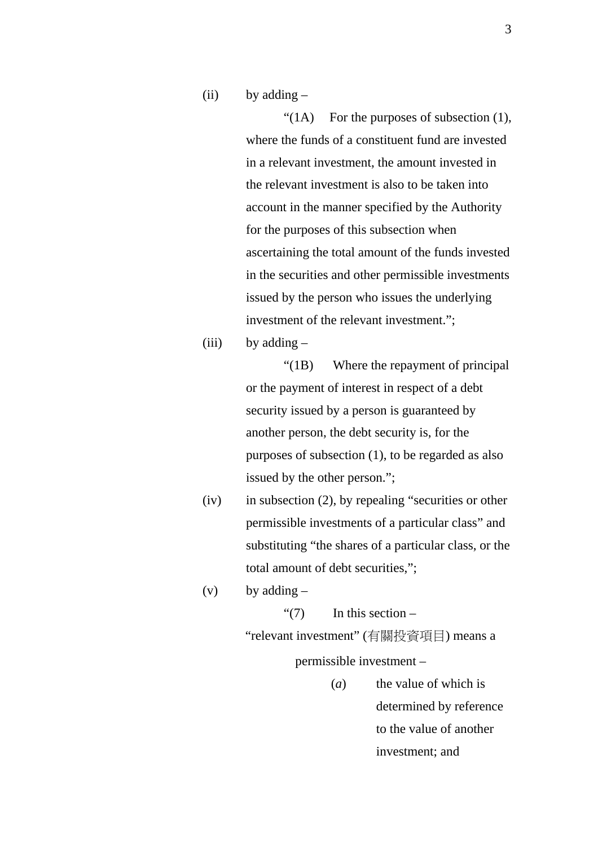$(ii)$  by adding  $-$ 

" $(1)$  For the purposes of subsection  $(1)$ , where the funds of a constituent fund are invested in a relevant investment, the amount invested in the relevant investment is also to be taken into account in the manner specified by the Authority for the purposes of this subsection when ascertaining the total amount of the funds invested in the securities and other permissible investments issued by the person who issues the underlying investment of the relevant investment.";

(iii) by adding  $-$ 

"(1B) Where the repayment of principal or the payment of interest in respect of a debt security issued by a person is guaranteed by another person, the debt security is, for the purposes of subsection (1), to be regarded as also issued by the other person.";

(iv) in subsection (2), by repealing "securities or other permissible investments of a particular class" and substituting "the shares of a particular class, or the total amount of debt securities,";

(v) by adding  $-$ 

" $(7)$  In this section – "relevant investment" (有關投資項目) means a permissible investment –

> (*a*) the value of which is determined by reference to the value of another investment; and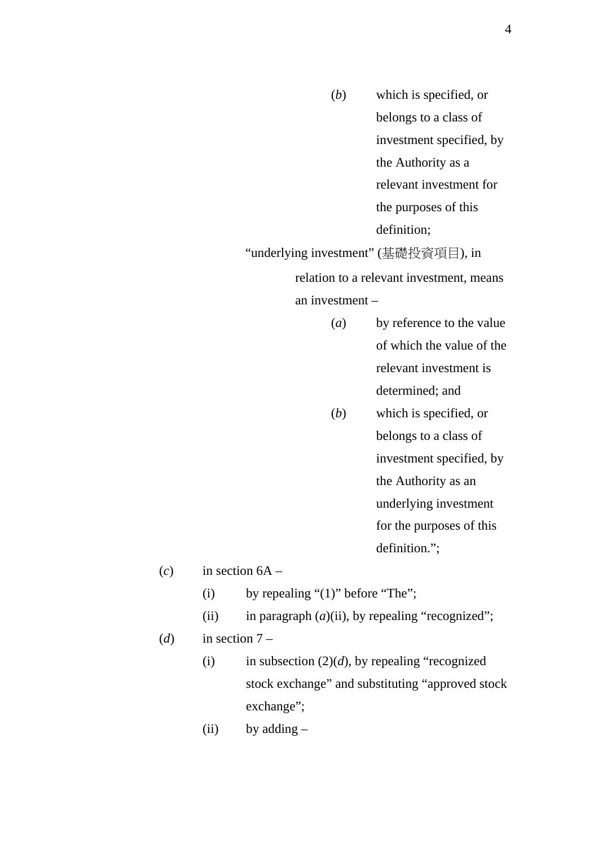(*b*) which is specified, or belongs to a class of investment specified, by the Authority as a relevant investment for the purposes of this definition; "underlying investment" (基礎投資項目), in

relation to a relevant investment, means an investment –

- (*a*) by reference to the value of which the value of the relevant investment is determined; and
- (*b*) which is specified, or belongs to a class of investment specified, by the Authority as an underlying investment for the purposes of this definition.";

 $(c)$  in section  $6A -$ 

- (i) by repealing " $(1)$ " before "The";
- (ii) in paragraph  $(a)$ (ii), by repealing "recognized";
- (*d*) in section  $7 -$ 
	- (i) in subsection  $(2)(d)$ , by repealing "recognized" stock exchange" and substituting "approved stock exchange";
	- $(ii)$  by adding  $-$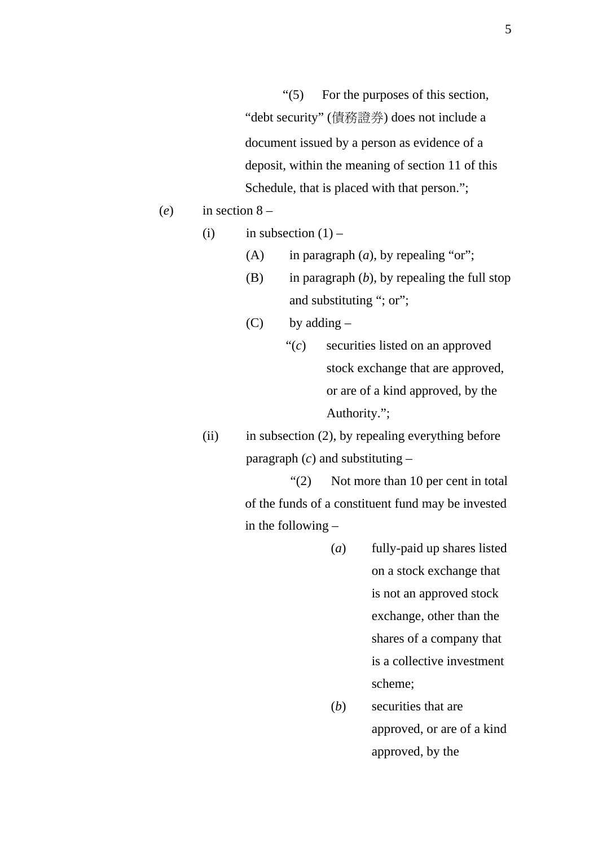"(5) For the purposes of this section, "debt security" (債務證券) does not include a document issued by a person as evidence of a deposit, within the meaning of section 11 of this Schedule, that is placed with that person.";

(*e*) in section 8 –

(i) in subsection  $(1)$  –

- (A) in paragraph (*a*), by repealing "or";
- (B) in paragraph (*b*), by repealing the full stop and substituting "; or";
- $(C)$  by adding
	- "(*c*) securities listed on an approved stock exchange that are approved, or are of a kind approved, by the Authority.";
- (ii) in subsection (2), by repealing everything before paragraph  $(c)$  and substituting  $-$

"(2) Not more than 10 per cent in total of the funds of a constituent fund may be invested in the following –

- (*a*) fully-paid up shares listed on a stock exchange that is not an approved stock exchange, other than the shares of a company that is a collective investment scheme;
- (*b*) securities that are approved, or are of a kind approved, by the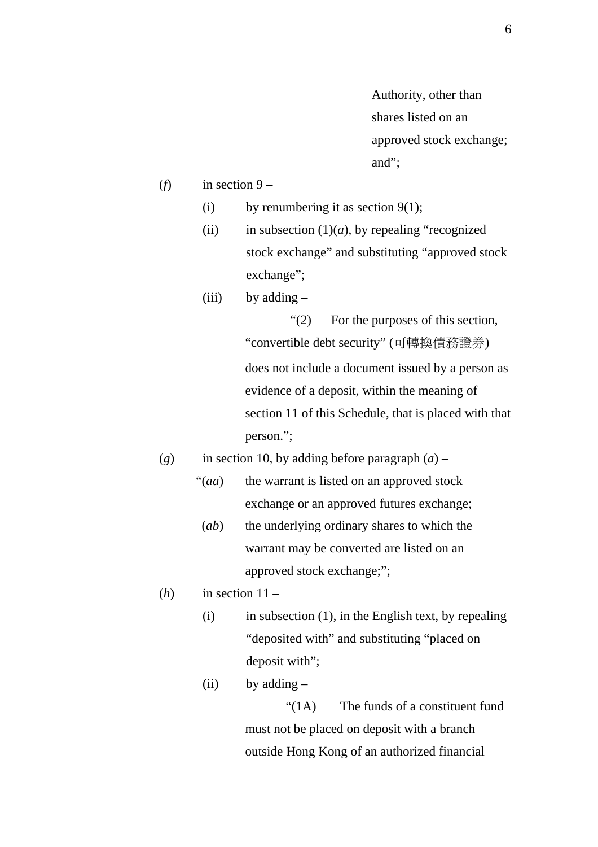Authority, other than shares listed on an approved stock exchange; and";

- (*f*) in section  $9 -$ 
	- (i) by renumbering it as section  $9(1)$ ;
	- (ii) in subsection  $(1)(a)$ , by repealing "recognized" stock exchange" and substituting "approved stock exchange";
	- (iii) by adding  $-$

"(2) For the purposes of this section, "convertible debt security" (可轉換債務證券) does not include a document issued by a person as evidence of a deposit, within the meaning of section 11 of this Schedule, that is placed with that person.";

- (*g*) in section 10, by adding before paragraph  $(a)$ 
	- "(*aa*) the warrant is listed on an approved stock exchange or an approved futures exchange;
		- (*ab*) the underlying ordinary shares to which the warrant may be converted are listed on an approved stock exchange;";
- $(h)$  in section  $11 -$ 
	- $(i)$  in subsection  $(1)$ , in the English text, by repealing "deposited with" and substituting "placed on deposit with";
	- (ii) by adding  $-$

 "(1A) The funds of a constituent fund must not be placed on deposit with a branch outside Hong Kong of an authorized financial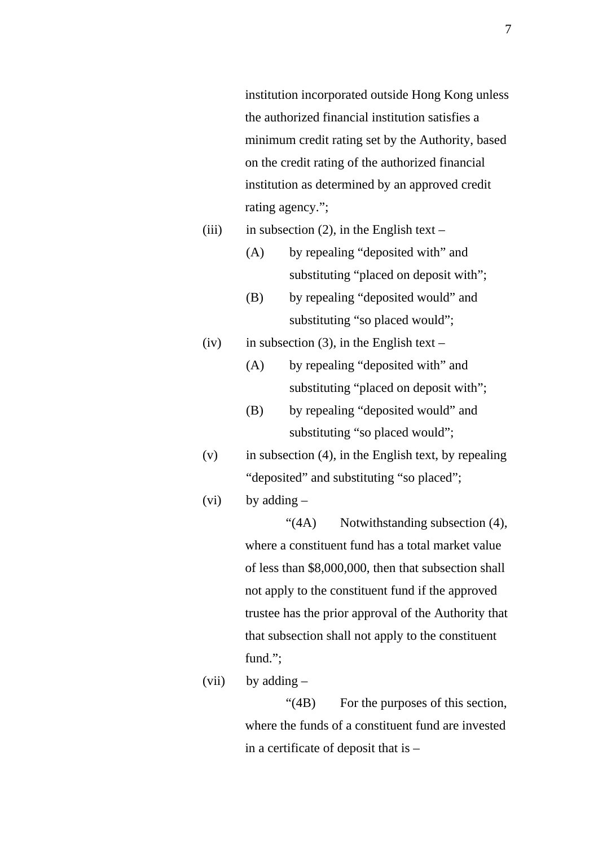institution incorporated outside Hong Kong unless the authorized financial institution satisfies a minimum credit rating set by the Authority, based on the credit rating of the authorized financial institution as determined by an approved credit rating agency.";

- (iii) in subsection (2), in the English text
	- (A) by repealing "deposited with" and substituting "placed on deposit with";
	- (B) by repealing "deposited would" and substituting "so placed would";
- (iv) in subsection (3), in the English text
	- (A) by repealing "deposited with" and substituting "placed on deposit with";
	- (B) by repealing "deposited would" and substituting "so placed would";
- $(v)$  in subsection (4), in the English text, by repealing "deposited" and substituting "so placed";
- (vi) by adding  $-$

 "(4A) Notwithstanding subsection (4), where a constituent fund has a total market value of less than \$8,000,000, then that subsection shall not apply to the constituent fund if the approved trustee has the prior approval of the Authority that that subsection shall not apply to the constituent fund.";

(vii) by adding  $-$ 

 "(4B) For the purposes of this section, where the funds of a constituent fund are invested in a certificate of deposit that is –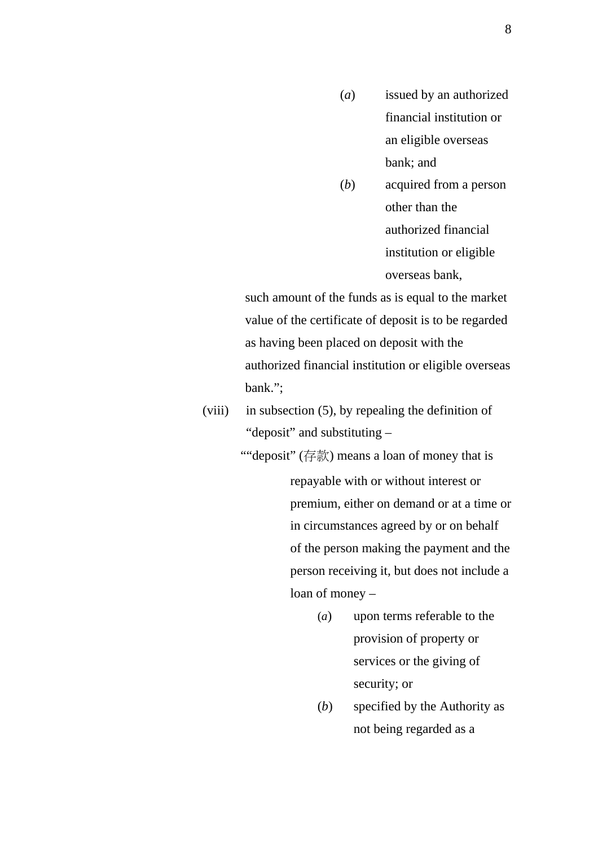- (*a*) issued by an authorized financial institution or an eligible overseas bank; and
- (*b*) acquired from a person other than the authorized financial institution or eligible overseas bank,

such amount of the funds as is equal to the market value of the certificate of deposit is to be regarded as having been placed on deposit with the authorized financial institution or eligible overseas bank.";

- (viii) in subsection (5), by repealing the definition of "deposit" and substituting –
	- ""deposit"  $(\vec{\tau} \cdot \vec{\tau})$  means a loan of money that is repayable with or without interest or premium, either on demand or at a time or in circumstances agreed by or on behalf of the person making the payment and the person receiving it, but does not include a loan of money –
		- (*a*) upon terms referable to the provision of property or services or the giving of security; or
		- (*b*) specified by the Authority as not being regarded as a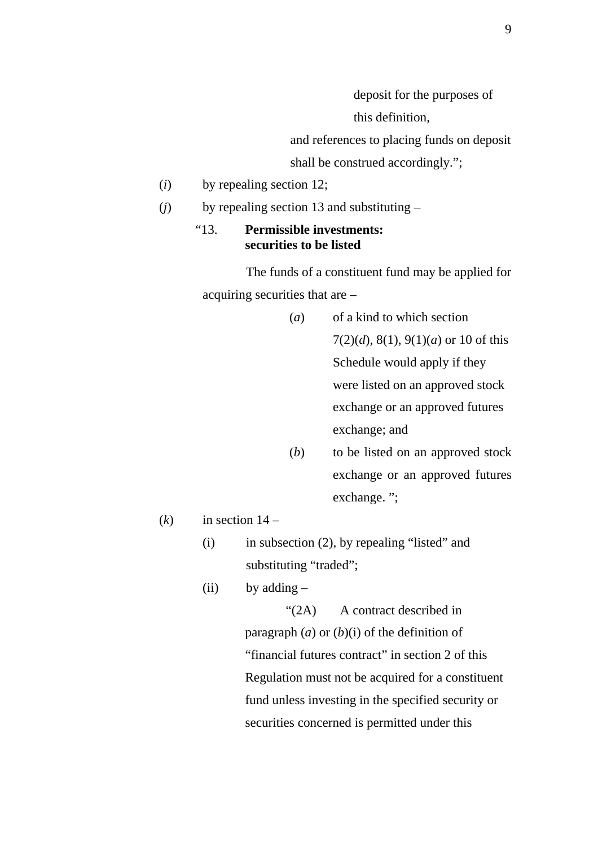deposit for the purposes of

this definition,

and references to placing funds on deposit shall be construed accordingly.";

(*i*) by repealing section 12;

(*j*) by repealing section 13 and substituting –

#### "13. **Permissible investments: securities to be listed**

The funds of a constituent fund may be applied for acquiring securities that are –

- (*a*) of a kind to which section 7(2)(*d*), 8(1), 9(1)(*a*) or 10 of this Schedule would apply if they were listed on an approved stock exchange or an approved futures exchange; and
- (*b*) to be listed on an approved stock exchange or an approved futures exchange. ";

 $(k)$  in section  $14 -$ 

- (i) in subsection (2), by repealing "listed" and substituting "traded";
- (ii) by adding  $-$

 "(2A) A contract described in paragraph  $(a)$  or  $(b)(i)$  of the definition of "financial futures contract" in section 2 of this Regulation must not be acquired for a constituent fund unless investing in the specified security or securities concerned is permitted under this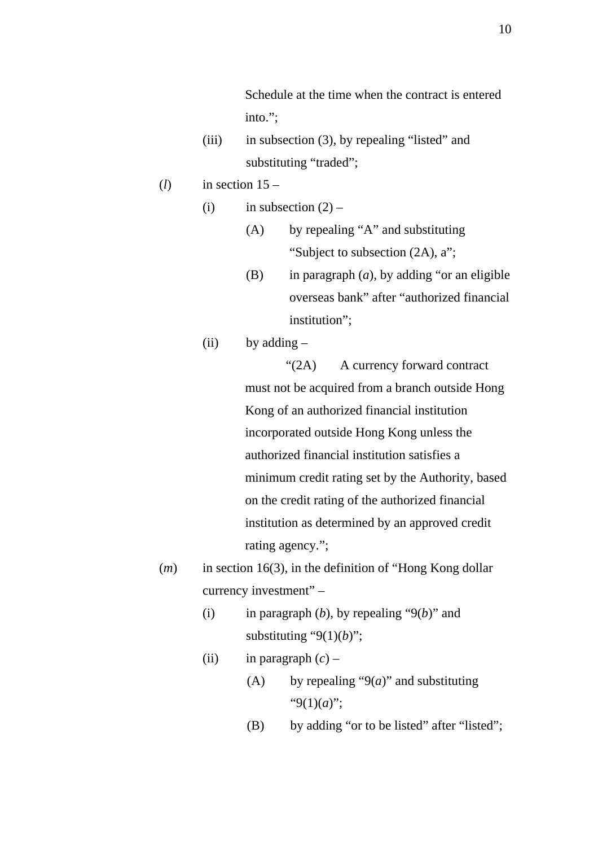Schedule at the time when the contract is entered into.";

- (iii) in subsection (3), by repealing "listed" and substituting "traded";
- $(l)$  in section  $15-$ 
	- (i) in subsection  $(2)$ 
		- (A) by repealing "A" and substituting "Subject to subsection (2A), a";
		- (B) in paragraph (*a*), by adding "or an eligible overseas bank" after "authorized financial institution";
	- (ii) by adding  $-$

"(2A) A currency forward contract must not be acquired from a branch outside Hong Kong of an authorized financial institution incorporated outside Hong Kong unless the authorized financial institution satisfies a minimum credit rating set by the Authority, based on the credit rating of the authorized financial institution as determined by an approved credit rating agency.";

- (*m*) in section 16(3), in the definition of "Hong Kong dollar currency investment" –
	- (i) in paragraph  $(b)$ , by repealing " $9(b)$ " and substituting " $9(1)(b)$ ";
	- (ii) in paragraph  $(c)$ 
		- (A) by repealing " $9(a)$ " and substituting "9(1)(*a*)";
		- (B) by adding "or to be listed" after "listed";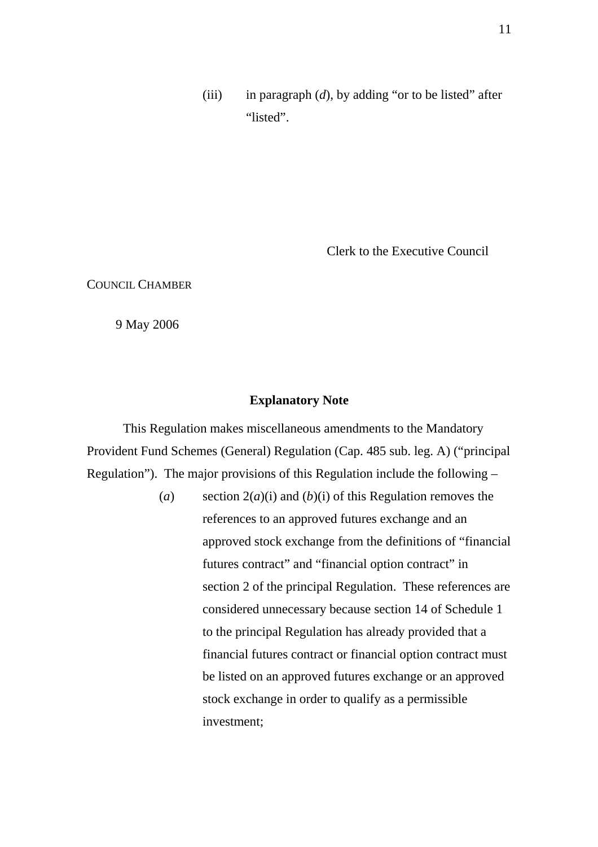(iii) in paragraph (*d*), by adding "or to be listed" after "listed".

Clerk to the Executive Council

COUNCIL CHAMBER

9 May 2006

#### **Explanatory Note**

 This Regulation makes miscellaneous amendments to the Mandatory Provident Fund Schemes (General) Regulation (Cap. 485 sub. leg. A) ("principal Regulation"). The major provisions of this Regulation include the following –

> (*a*) section 2(*a*)(i) and (*b*)(i) of this Regulation removes the references to an approved futures exchange and an approved stock exchange from the definitions of "financial futures contract" and "financial option contract" in section 2 of the principal Regulation. These references are considered unnecessary because section 14 of Schedule 1 to the principal Regulation has already provided that a financial futures contract or financial option contract must be listed on an approved futures exchange or an approved stock exchange in order to qualify as a permissible investment;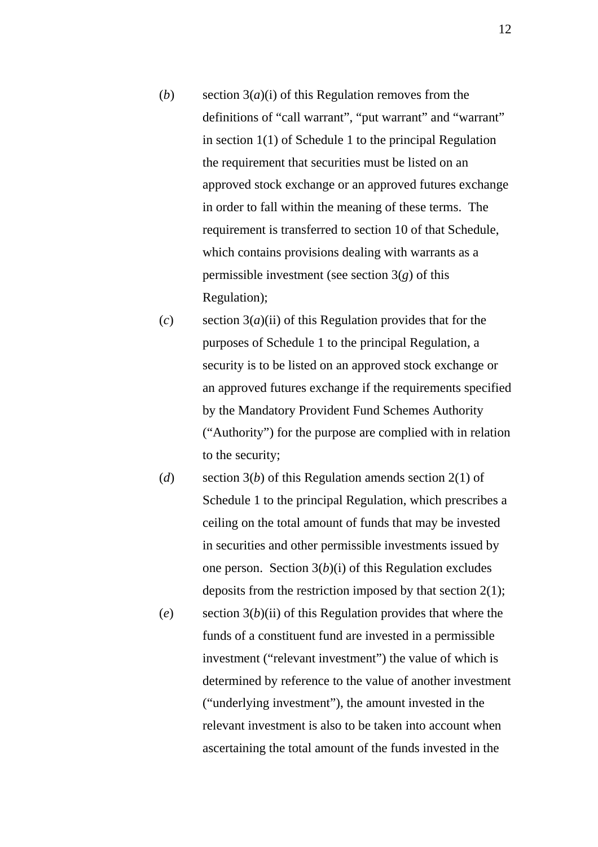- (*b*) section 3(*a*)(i) of this Regulation removes from the definitions of "call warrant", "put warrant" and "warrant" in section 1(1) of Schedule 1 to the principal Regulation the requirement that securities must be listed on an approved stock exchange or an approved futures exchange in order to fall within the meaning of these terms. The requirement is transferred to section 10 of that Schedule, which contains provisions dealing with warrants as a permissible investment (see section 3(*g*) of this Regulation);
- (*c*) section 3(*a*)(ii) of this Regulation provides that for the purposes of Schedule 1 to the principal Regulation, a security is to be listed on an approved stock exchange or an approved futures exchange if the requirements specified by the Mandatory Provident Fund Schemes Authority ("Authority") for the purpose are complied with in relation to the security;
- (*d*) section 3(*b*) of this Regulation amends section 2(1) of Schedule 1 to the principal Regulation, which prescribes a ceiling on the total amount of funds that may be invested in securities and other permissible investments issued by one person. Section 3(*b*)(i) of this Regulation excludes deposits from the restriction imposed by that section 2(1); (*e*) section 3(*b*)(ii) of this Regulation provides that where the funds of a constituent fund are invested in a permissible investment ("relevant investment") the value of which is determined by reference to the value of another investment ("underlying investment"), the amount invested in the

relevant investment is also to be taken into account when

ascertaining the total amount of the funds invested in the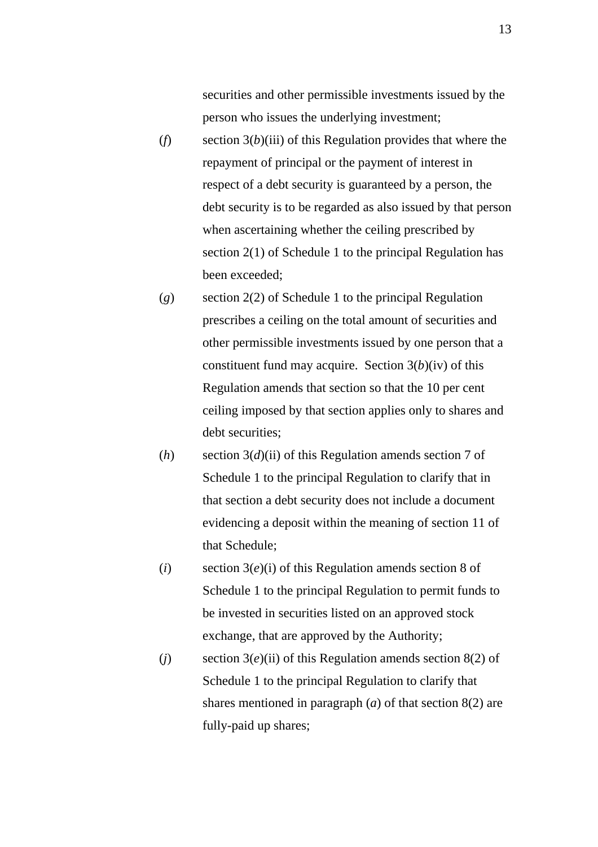securities and other permissible investments issued by the person who issues the underlying investment;

- (*f*) section 3(*b*)(iii) of this Regulation provides that where the repayment of principal or the payment of interest in respect of a debt security is guaranteed by a person, the debt security is to be regarded as also issued by that person when ascertaining whether the ceiling prescribed by section 2(1) of Schedule 1 to the principal Regulation has been exceeded;
- (*g*) section 2(2) of Schedule 1 to the principal Regulation prescribes a ceiling on the total amount of securities and other permissible investments issued by one person that a constituent fund may acquire. Section  $3(b)(iv)$  of this Regulation amends that section so that the 10 per cent ceiling imposed by that section applies only to shares and debt securities;
- (*h*) section 3(*d*)(ii) of this Regulation amends section 7 of Schedule 1 to the principal Regulation to clarify that in that section a debt security does not include a document evidencing a deposit within the meaning of section 11 of that Schedule;
- (*i*) section 3(*e*)(i) of this Regulation amends section 8 of Schedule 1 to the principal Regulation to permit funds to be invested in securities listed on an approved stock exchange, that are approved by the Authority;
- (*j*) section  $3(e)$ (*ii*) of this Regulation amends section  $8(2)$  of Schedule 1 to the principal Regulation to clarify that shares mentioned in paragraph (*a*) of that section 8(2) are fully-paid up shares;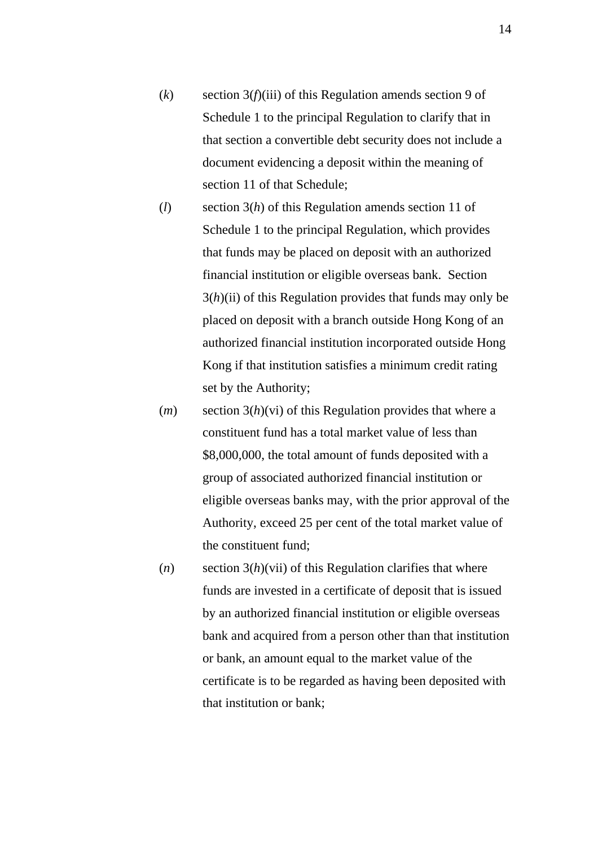- (*k*) section 3(*f*)(iii) of this Regulation amends section 9 of Schedule 1 to the principal Regulation to clarify that in that section a convertible debt security does not include a document evidencing a deposit within the meaning of section 11 of that Schedule;
- (*l*) section 3(*h*) of this Regulation amends section 11 of Schedule 1 to the principal Regulation, which provides that funds may be placed on deposit with an authorized financial institution or eligible overseas bank. Section 3(*h*)(ii) of this Regulation provides that funds may only be placed on deposit with a branch outside Hong Kong of an authorized financial institution incorporated outside Hong Kong if that institution satisfies a minimum credit rating set by the Authority;
- (*m*) section 3(*h*)(vi) of this Regulation provides that where a constituent fund has a total market value of less than \$8,000,000, the total amount of funds deposited with a group of associated authorized financial institution or eligible overseas banks may, with the prior approval of the Authority, exceed 25 per cent of the total market value of the constituent fund;
- (*n*) section 3(*h*)(vii) of this Regulation clarifies that where funds are invested in a certificate of deposit that is issued by an authorized financial institution or eligible overseas bank and acquired from a person other than that institution or bank, an amount equal to the market value of the certificate is to be regarded as having been deposited with that institution or bank;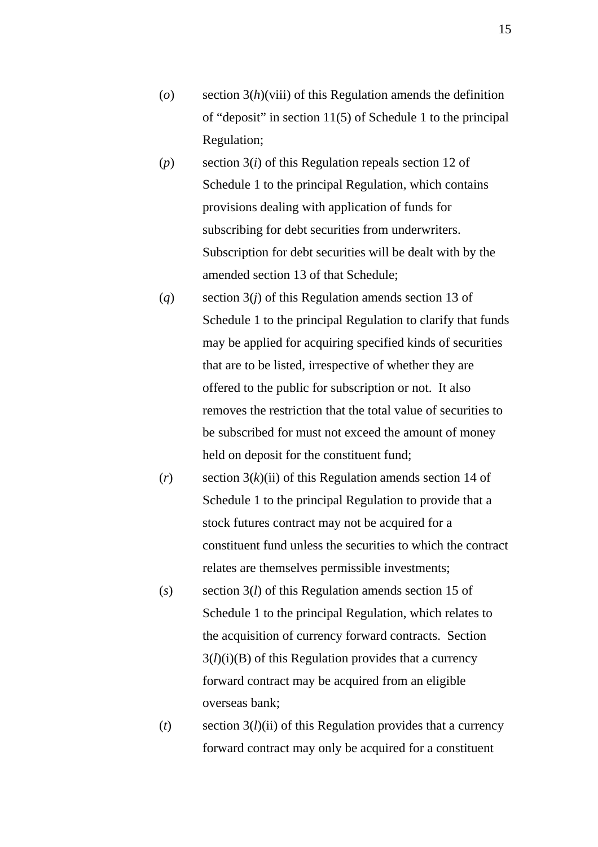- (*o*) section 3(*h*)(viii) of this Regulation amends the definition of "deposit" in section 11(5) of Schedule 1 to the principal Regulation;
- (*p*) section 3(*i*) of this Regulation repeals section 12 of Schedule 1 to the principal Regulation, which contains provisions dealing with application of funds for subscribing for debt securities from underwriters. Subscription for debt securities will be dealt with by the amended section 13 of that Schedule;
- (*q*) section 3(*j*) of this Regulation amends section 13 of Schedule 1 to the principal Regulation to clarify that funds may be applied for acquiring specified kinds of securities that are to be listed, irrespective of whether they are offered to the public for subscription or not. It also removes the restriction that the total value of securities to be subscribed for must not exceed the amount of money held on deposit for the constituent fund;
- (*r*) section 3(*k*)(ii) of this Regulation amends section 14 of Schedule 1 to the principal Regulation to provide that a stock futures contract may not be acquired for a constituent fund unless the securities to which the contract relates are themselves permissible investments;
- (*s*) section 3(*l*) of this Regulation amends section 15 of Schedule 1 to the principal Regulation, which relates to the acquisition of currency forward contracts. Section  $3(l)(i)(B)$  of this Regulation provides that a currency forward contract may be acquired from an eligible overseas bank;
- (*t*) section 3(*l*)(ii) of this Regulation provides that a currency forward contract may only be acquired for a constituent

15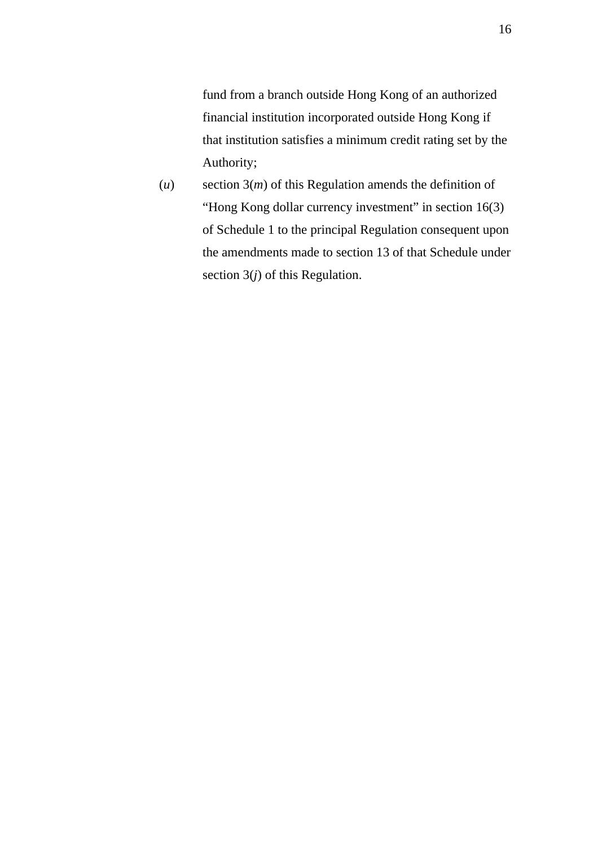fund from a branch outside Hong Kong of an authorized financial institution incorporated outside Hong Kong if that institution satisfies a minimum credit rating set by the Authority;

(*u*) section 3(*m*) of this Regulation amends the definition of "Hong Kong dollar currency investment" in section 16(3) of Schedule 1 to the principal Regulation consequent upon the amendments made to section 13 of that Schedule under section 3(*j*) of this Regulation.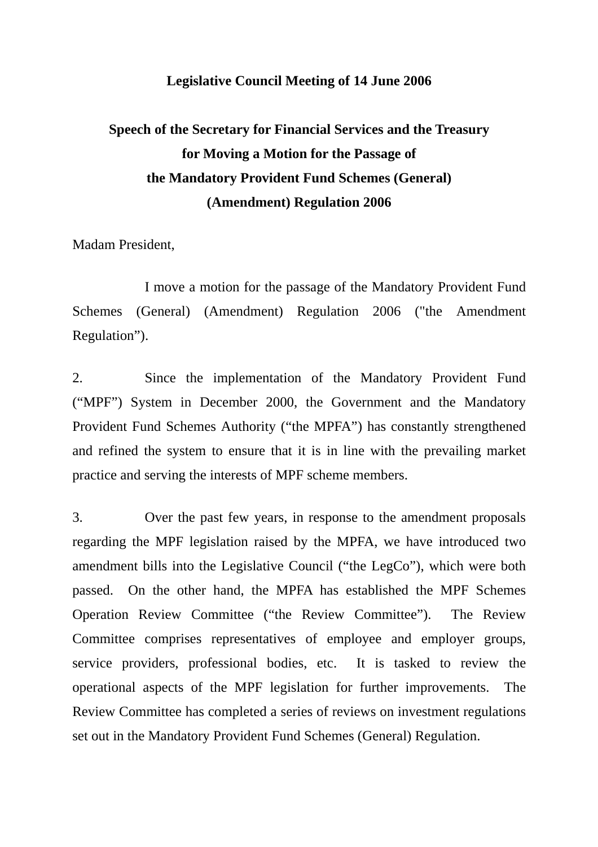#### **Legislative Council Meeting of 14 June 2006**

# **Speech of the Secretary for Financial Services and the Treasury for Moving a Motion for the Passage of the Mandatory Provident Fund Schemes (General) (Amendment) Regulation 2006**

Madam President,

 I move a motion for the passage of the Mandatory Provident Fund Schemes (General) (Amendment) Regulation 2006 ("the Amendment Regulation").

2. Since the implementation of the Mandatory Provident Fund ("MPF") System in December 2000, the Government and the Mandatory Provident Fund Schemes Authority ("the MPFA") has constantly strengthened and refined the system to ensure that it is in line with the prevailing market practice and serving the interests of MPF scheme members.

3. Over the past few years, in response to the amendment proposals regarding the MPF legislation raised by the MPFA, we have introduced two amendment bills into the Legislative Council ("the LegCo"), which were both passed. On the other hand, the MPFA has established the MPF Schemes Operation Review Committee ("the Review Committee"). The Review Committee comprises representatives of employee and employer groups, service providers, professional bodies, etc. It is tasked to review the operational aspects of the MPF legislation for further improvements. The Review Committee has completed a series of reviews on investment regulations set out in the Mandatory Provident Fund Schemes (General) Regulation.